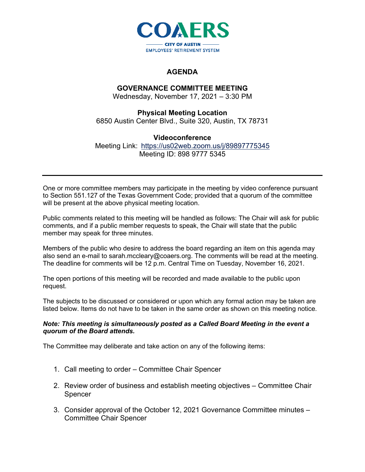

## **AGENDA**

# **GOVERNANCE COMMITTEE MEETING**

Wednesday, November 17, 2021 – 3:30 PM

### **Physical Meeting Location**

6850 Austin Center Blvd., Suite 320, Austin, TX 78731

#### **Videoconference**

Meeting Link: <https://us02web.zoom.us/j/89897775345> Meeting ID: 898 9777 5345

One or more committee members may participate in the meeting by video conference pursuant to Section 551.127 of the Texas Government Code; provided that a quorum of the committee will be present at the above physical meeting location.

Public comments related to this meeting will be handled as follows: The Chair will ask for public comments, and if a public member requests to speak, the Chair will state that the public member may speak for three minutes.

Members of the public who desire to address the board regarding an item on this agenda may also send an e-mail to sarah.mccleary@coaers.org. The comments will be read at the meeting. The deadline for comments will be 12 p.m. Central Time on Tuesday, November 16, 2021.

The open portions of this meeting will be recorded and made available to the public upon request.

The subjects to be discussed or considered or upon which any formal action may be taken are listed below. Items do not have to be taken in the same order as shown on this meeting notice.

#### *Note: This meeting is simultaneously posted as a Called Board Meeting in the event a quorum of the Board attends.*

The Committee may deliberate and take action on any of the following items:

- 1. Call meeting to order Committee Chair Spencer
- 2. Review order of business and establish meeting objectives Committee Chair Spencer
- 3. Consider approval of the October 12, 2021 Governance Committee minutes Committee Chair Spencer